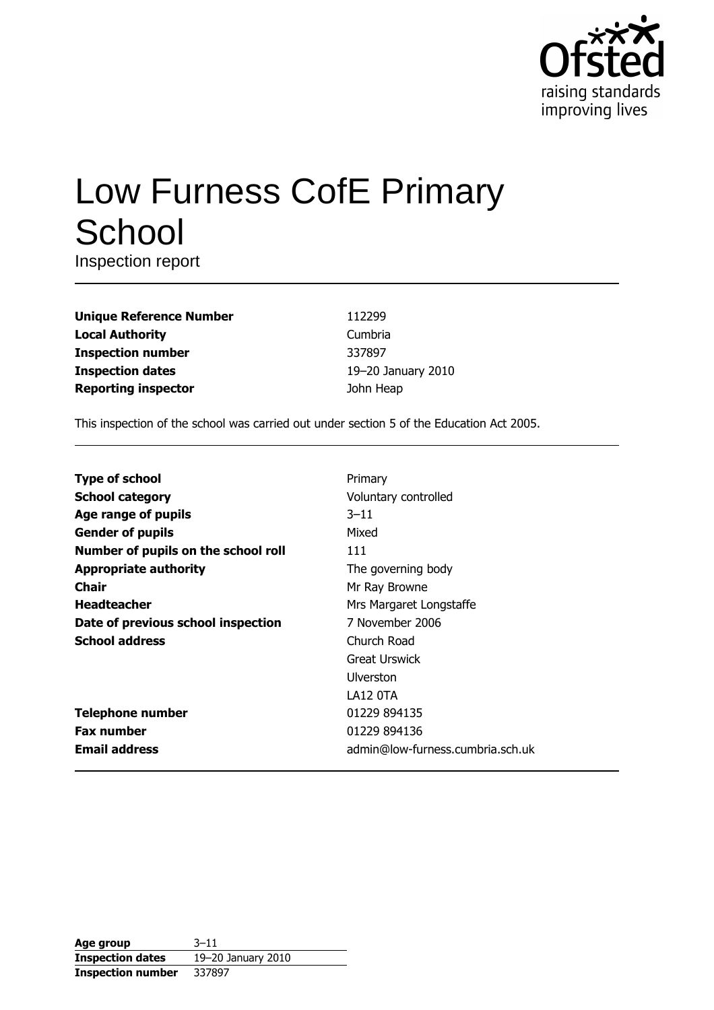

# Low Furness CofE Primary School

Inspection report

| <b>Unique Reference Number</b> |
|--------------------------------|
| <b>Local Authority</b>         |
| <b>Inspection number</b>       |
| <b>Inspection dates</b>        |
| <b>Reporting inspector</b>     |

112299 Cumbria 337897 19-20 January 2010 John Heap

This inspection of the school was carried out under section 5 of the Education Act 2005.

| <b>Type of school</b>               | Primary                          |  |  |  |  |
|-------------------------------------|----------------------------------|--|--|--|--|
| <b>School category</b>              | Voluntary controlled             |  |  |  |  |
| Age range of pupils                 | $3 - 11$                         |  |  |  |  |
| <b>Gender of pupils</b>             | Mixed                            |  |  |  |  |
| Number of pupils on the school roll | 111                              |  |  |  |  |
| <b>Appropriate authority</b>        | The governing body               |  |  |  |  |
| Chair                               | Mr Ray Browne                    |  |  |  |  |
| <b>Headteacher</b>                  | Mrs Margaret Longstaffe          |  |  |  |  |
| Date of previous school inspection  | 7 November 2006                  |  |  |  |  |
| <b>School address</b>               | Church Road                      |  |  |  |  |
|                                     | Great Urswick                    |  |  |  |  |
|                                     | Ulverston                        |  |  |  |  |
|                                     | LA12 OTA                         |  |  |  |  |
| <b>Telephone number</b>             | 01229 894135                     |  |  |  |  |
| <b>Fax number</b>                   | 01229 894136                     |  |  |  |  |
| <b>Email address</b>                | admin@low-furness.cumbria.sch.uk |  |  |  |  |

| Age group                | $3 - 11$           |
|--------------------------|--------------------|
| <b>Inspection dates</b>  | 19-20 January 2010 |
| <b>Inspection number</b> | 337897             |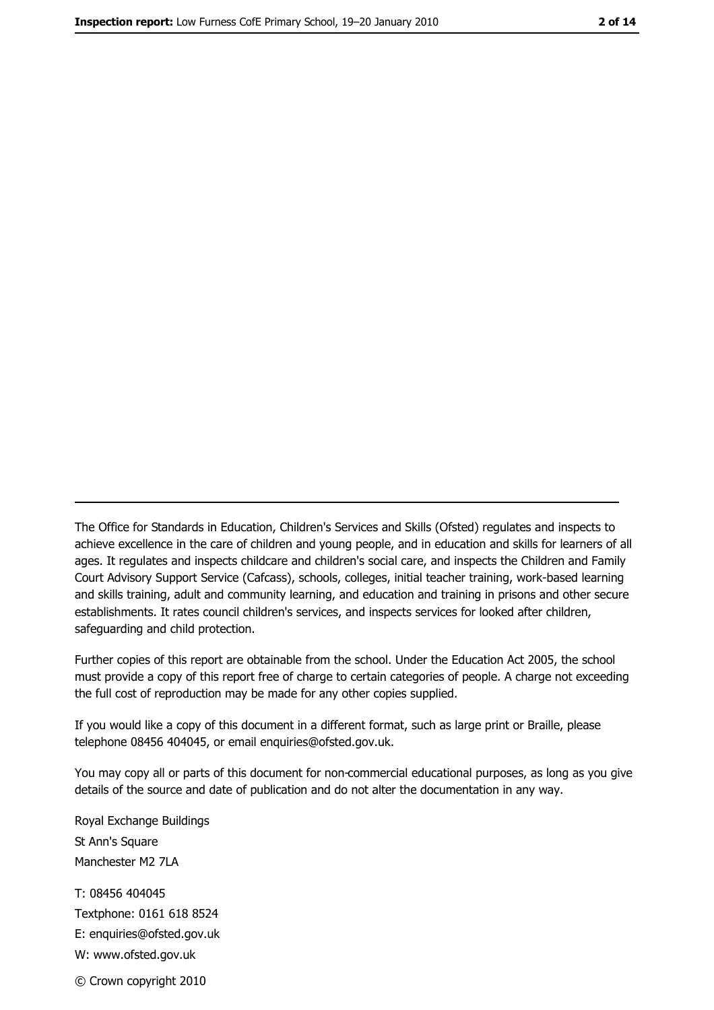The Office for Standards in Education, Children's Services and Skills (Ofsted) regulates and inspects to achieve excellence in the care of children and young people, and in education and skills for learners of all ages. It regulates and inspects childcare and children's social care, and inspects the Children and Family Court Advisory Support Service (Cafcass), schools, colleges, initial teacher training, work-based learning and skills training, adult and community learning, and education and training in prisons and other secure establishments. It rates council children's services, and inspects services for looked after children, safequarding and child protection.

Further copies of this report are obtainable from the school. Under the Education Act 2005, the school must provide a copy of this report free of charge to certain categories of people. A charge not exceeding the full cost of reproduction may be made for any other copies supplied.

If you would like a copy of this document in a different format, such as large print or Braille, please telephone 08456 404045, or email enquiries@ofsted.gov.uk.

You may copy all or parts of this document for non-commercial educational purposes, as long as you give details of the source and date of publication and do not alter the documentation in any way.

Royal Exchange Buildings St Ann's Square Manchester M2 7LA T: 08456 404045 Textphone: 0161 618 8524 E: enquiries@ofsted.gov.uk W: www.ofsted.gov.uk © Crown copyright 2010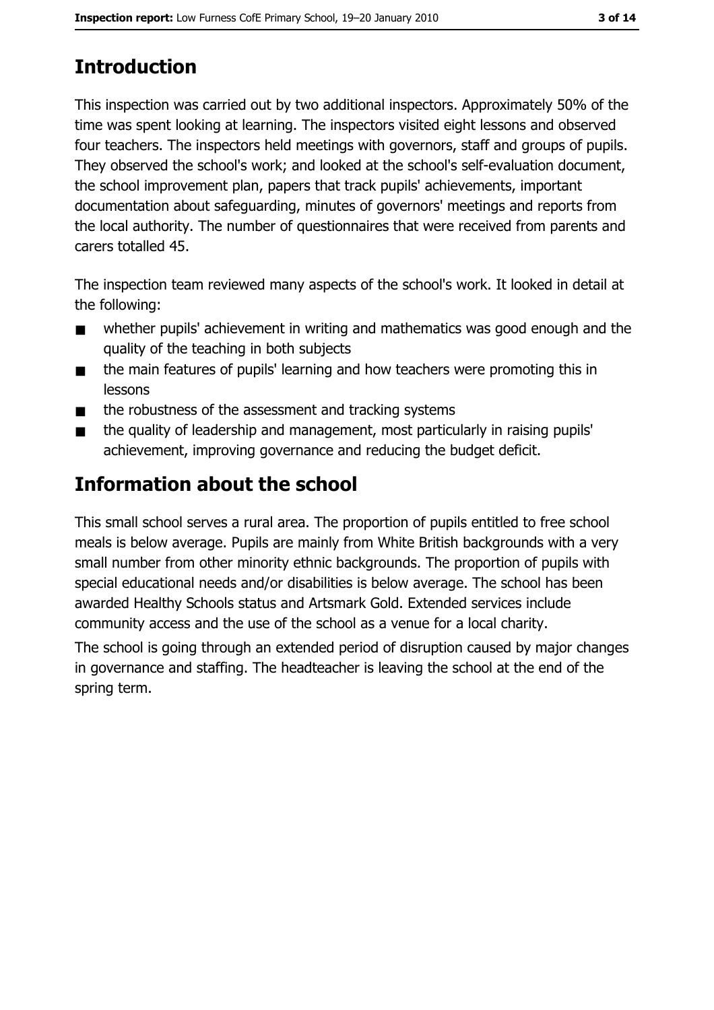# **Introduction**

This inspection was carried out by two additional inspectors. Approximately 50% of the time was spent looking at learning. The inspectors visited eight lessons and observed four teachers. The inspectors held meetings with governors, staff and groups of pupils. They observed the school's work; and looked at the school's self-evaluation document, the school improvement plan, papers that track pupils' achievements, important documentation about safeguarding, minutes of governors' meetings and reports from the local authority. The number of questionnaires that were received from parents and carers totalled 45.

The inspection team reviewed many aspects of the school's work. It looked in detail at the following:

- whether pupils' achievement in writing and mathematics was good enough and the  $\blacksquare$ quality of the teaching in both subjects
- the main features of pupils' learning and how teachers were promoting this in  $\blacksquare$ lessons
- the robustness of the assessment and tracking systems  $\blacksquare$
- the quality of leadership and management, most particularly in raising pupils'  $\blacksquare$ achievement, improving governance and reducing the budget deficit.

# Information about the school

This small school serves a rural area. The proportion of pupils entitled to free school meals is below average. Pupils are mainly from White British backgrounds with a very small number from other minority ethnic backgrounds. The proportion of pupils with special educational needs and/or disabilities is below average. The school has been awarded Healthy Schools status and Artsmark Gold. Extended services include community access and the use of the school as a venue for a local charity.

The school is going through an extended period of disruption caused by major changes in governance and staffing. The headteacher is leaving the school at the end of the spring term.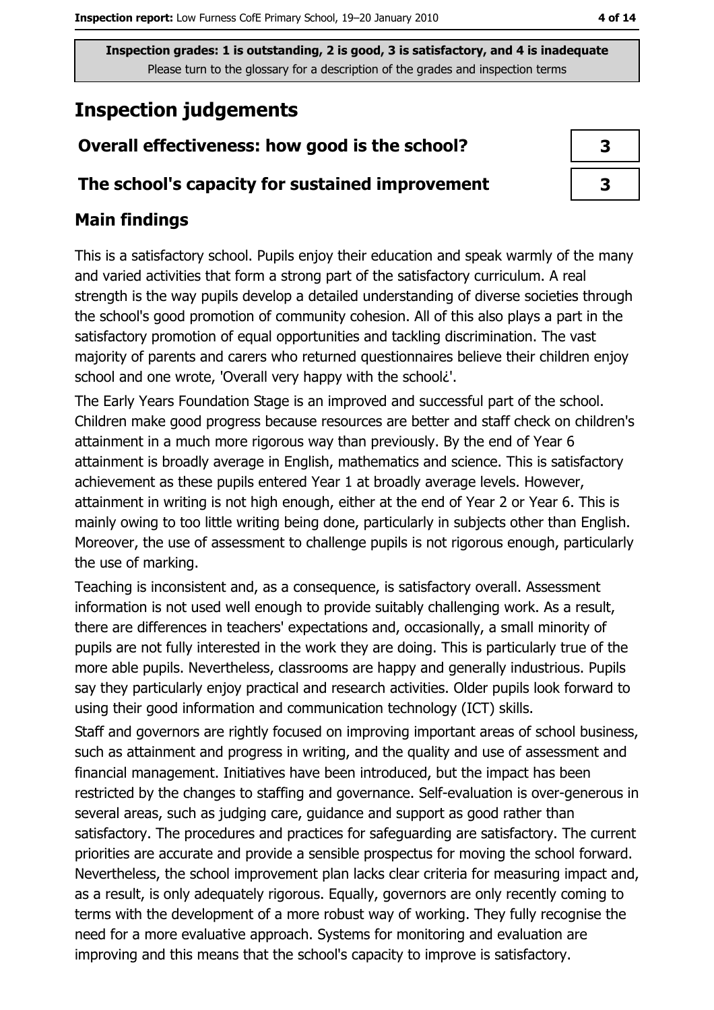## **Inspection judgements**

## Overall effectiveness: how good is the school?

#### The school's capacity for sustained improvement

## **Main findings**

This is a satisfactory school. Pupils enjoy their education and speak warmly of the many and varied activities that form a strong part of the satisfactory curriculum. A real strength is the way pupils develop a detailed understanding of diverse societies through the school's good promotion of community cohesion. All of this also plays a part in the satisfactory promotion of equal opportunities and tackling discrimination. The vast majority of parents and carers who returned questionnaires believe their children enjoy school and one wrote, 'Overall very happy with the school?'.

The Early Years Foundation Stage is an improved and successful part of the school. Children make good progress because resources are better and staff check on children's attainment in a much more rigorous way than previously. By the end of Year 6 attainment is broadly average in English, mathematics and science. This is satisfactory achievement as these pupils entered Year 1 at broadly average levels. However, attainment in writing is not high enough, either at the end of Year 2 or Year 6. This is mainly owing to too little writing being done, particularly in subjects other than English. Moreover, the use of assessment to challenge pupils is not rigorous enough, particularly the use of marking.

Teaching is inconsistent and, as a consequence, is satisfactory overall. Assessment information is not used well enough to provide suitably challenging work. As a result, there are differences in teachers' expectations and, occasionally, a small minority of pupils are not fully interested in the work they are doing. This is particularly true of the more able pupils. Nevertheless, classrooms are happy and generally industrious. Pupils say they particularly enjoy practical and research activities. Older pupils look forward to using their good information and communication technology (ICT) skills.

Staff and governors are rightly focused on improving important areas of school business, such as attainment and progress in writing, and the quality and use of assessment and financial management. Initiatives have been introduced, but the impact has been restricted by the changes to staffing and governance. Self-evaluation is over-generous in several areas, such as judging care, guidance and support as good rather than satisfactory. The procedures and practices for safeguarding are satisfactory. The current priorities are accurate and provide a sensible prospectus for moving the school forward. Nevertheless, the school improvement plan lacks clear criteria for measuring impact and, as a result, is only adequately rigorous. Equally, governors are only recently coming to terms with the development of a more robust way of working. They fully recognise the need for a more evaluative approach. Systems for monitoring and evaluation are improving and this means that the school's capacity to improve is satisfactory.

| ۰. |  |
|----|--|
|    |  |

| 3 |  |
|---|--|
| 3 |  |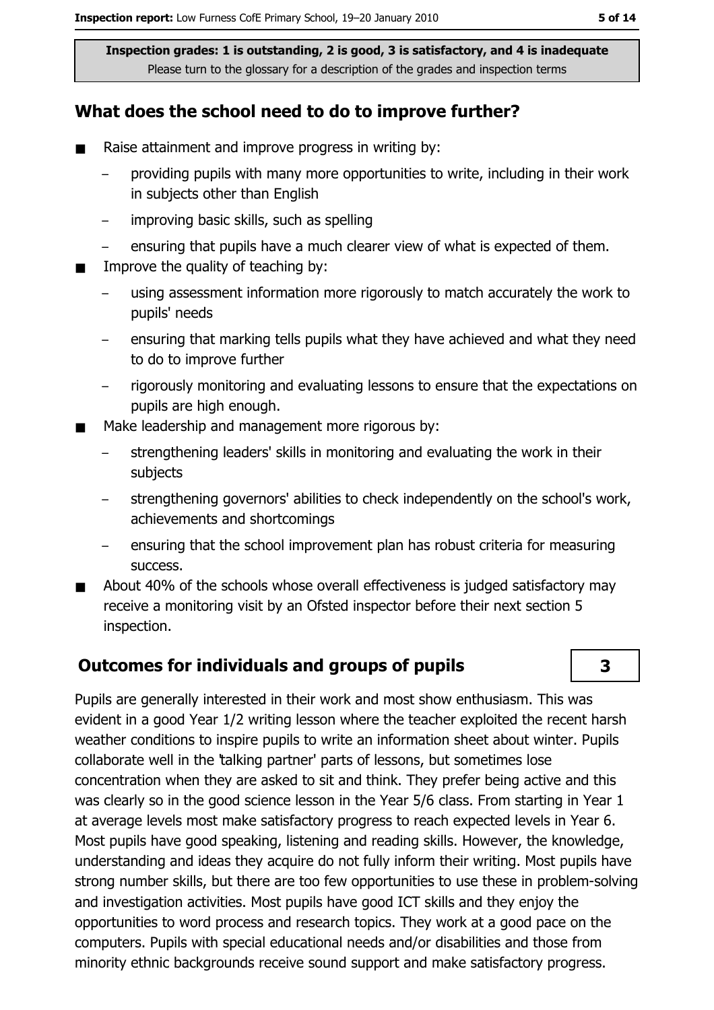#### What does the school need to do to improve further?

- $\blacksquare$ Raise attainment and improve progress in writing by:
	- providing pupils with many more opportunities to write, including in their work in subjects other than English
	- improving basic skills, such as spelling  $\equiv$
	- ensuring that pupils have a much clearer view of what is expected of them.
- Improve the quality of teaching by:  $\blacksquare$ 
	- using assessment information more rigorously to match accurately the work to pupils' needs
	- ensuring that marking tells pupils what they have achieved and what they need to do to improve further
	- rigorously monitoring and evaluating lessons to ensure that the expectations on  $$ pupils are high enough.
- Make leadership and management more rigorous by:
	- strengthening leaders' skills in monitoring and evaluating the work in their subjects
	- strengthening governors' abilities to check independently on the school's work, achievements and shortcomings
	- ensuring that the school improvement plan has robust criteria for measuring success.
- About 40% of the schools whose overall effectiveness is judged satisfactory may  $\blacksquare$ receive a monitoring visit by an Ofsted inspector before their next section 5 inspection.

#### **Outcomes for individuals and groups of pupils**

Pupils are generally interested in their work and most show enthusiasm. This was evident in a good Year 1/2 writing lesson where the teacher exploited the recent harsh weather conditions to inspire pupils to write an information sheet about winter. Pupils collaborate well in the 'talking partner' parts of lessons, but sometimes lose concentration when they are asked to sit and think. They prefer being active and this was clearly so in the good science lesson in the Year 5/6 class. From starting in Year 1 at average levels most make satisfactory progress to reach expected levels in Year 6. Most pupils have good speaking, listening and reading skills. However, the knowledge, understanding and ideas they acquire do not fully inform their writing. Most pupils have strong number skills, but there are too few opportunities to use these in problem-solving and investigation activities. Most pupils have good ICT skills and they enjoy the opportunities to word process and research topics. They work at a good pace on the computers. Pupils with special educational needs and/or disabilities and those from minority ethnic backgrounds receive sound support and make satisfactory progress.

 $\overline{\mathbf{3}}$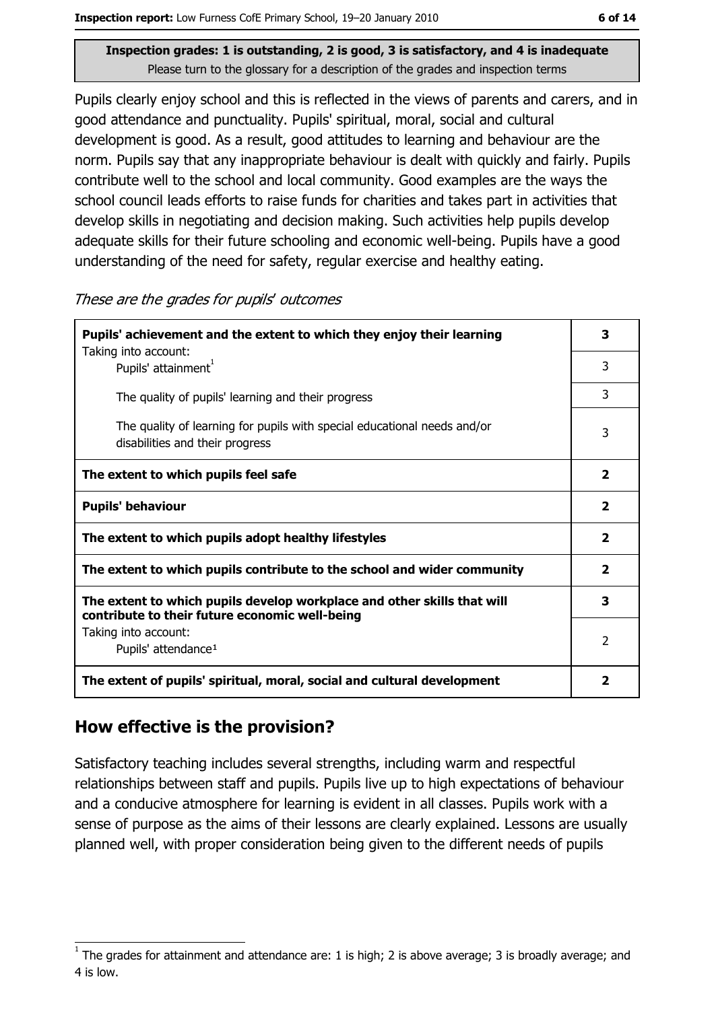Pupils clearly enjoy school and this is reflected in the views of parents and carers, and in good attendance and punctuality. Pupils' spiritual, moral, social and cultural development is good. As a result, good attitudes to learning and behaviour are the norm. Pupils say that any inappropriate behaviour is dealt with quickly and fairly. Pupils contribute well to the school and local community. Good examples are the ways the school council leads efforts to raise funds for charities and takes part in activities that develop skills in negotiating and decision making. Such activities help pupils develop adequate skills for their future schooling and economic well-being. Pupils have a good understanding of the need for safety, regular exercise and healthy eating.

| These are the grades for pupils' outcomes |  |  |  |
|-------------------------------------------|--|--|--|
|-------------------------------------------|--|--|--|

| Pupils' achievement and the extent to which they enjoy their learning                                                     |              |  |  |
|---------------------------------------------------------------------------------------------------------------------------|--------------|--|--|
| Taking into account:<br>Pupils' attainment <sup>1</sup>                                                                   | 3            |  |  |
| The quality of pupils' learning and their progress                                                                        | 3            |  |  |
| The quality of learning for pupils with special educational needs and/or<br>disabilities and their progress               | 3            |  |  |
| The extent to which pupils feel safe                                                                                      | $\mathbf{z}$ |  |  |
| <b>Pupils' behaviour</b>                                                                                                  | 2            |  |  |
| The extent to which pupils adopt healthy lifestyles                                                                       | 2            |  |  |
| The extent to which pupils contribute to the school and wider community                                                   | $\mathbf{z}$ |  |  |
| The extent to which pupils develop workplace and other skills that will<br>contribute to their future economic well-being |              |  |  |
| Taking into account:<br>Pupils' attendance <sup>1</sup>                                                                   | 2            |  |  |
| The extent of pupils' spiritual, moral, social and cultural development                                                   | 2            |  |  |

#### How effective is the provision?

Satisfactory teaching includes several strengths, including warm and respectful relationships between staff and pupils. Pupils live up to high expectations of behaviour and a conducive atmosphere for learning is evident in all classes. Pupils work with a sense of purpose as the aims of their lessons are clearly explained. Lessons are usually planned well, with proper consideration being given to the different needs of pupils

The grades for attainment and attendance are: 1 is high; 2 is above average; 3 is broadly average; and 4 is low.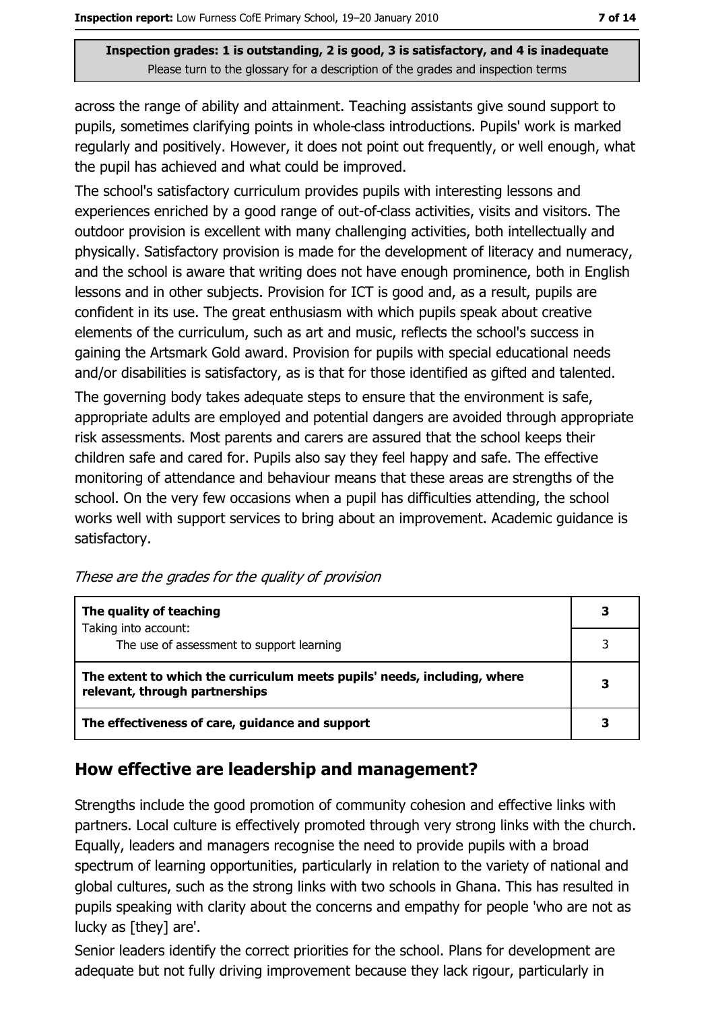across the range of ability and attainment. Teaching assistants give sound support to pupils, sometimes clarifying points in whole-class introductions. Pupils' work is marked regularly and positively. However, it does not point out frequently, or well enough, what the pupil has achieved and what could be improved.

The school's satisfactory curriculum provides pupils with interesting lessons and experiences enriched by a good range of out-of-class activities, visits and visitors. The outdoor provision is excellent with many challenging activities, both intellectually and physically. Satisfactory provision is made for the development of literacy and numeracy, and the school is aware that writing does not have enough prominence, both in English lessons and in other subjects. Provision for ICT is good and, as a result, pupils are confident in its use. The great enthusiasm with which pupils speak about creative elements of the curriculum, such as art and music, reflects the school's success in gaining the Artsmark Gold award. Provision for pupils with special educational needs and/or disabilities is satisfactory, as is that for those identified as gifted and talented.

The governing body takes adequate steps to ensure that the environment is safe, appropriate adults are employed and potential dangers are avoided through appropriate risk assessments. Most parents and carers are assured that the school keeps their children safe and cared for. Pupils also say they feel happy and safe. The effective monitoring of attendance and behaviour means that these areas are strengths of the school. On the very few occasions when a pupil has difficulties attending, the school works well with support services to bring about an improvement. Academic quidance is satisfactory.

|  |  | These are the grades for the quality of provision |  |
|--|--|---------------------------------------------------|--|
|  |  |                                                   |  |

| The quality of teaching                                                                                    | 3 |
|------------------------------------------------------------------------------------------------------------|---|
| Taking into account:                                                                                       |   |
| The use of assessment to support learning                                                                  |   |
| The extent to which the curriculum meets pupils' needs, including, where<br>relevant, through partnerships |   |
| The effectiveness of care, guidance and support                                                            |   |

#### How effective are leadership and management?

Strengths include the good promotion of community cohesion and effective links with partners. Local culture is effectively promoted through very strong links with the church. Equally, leaders and managers recognise the need to provide pupils with a broad spectrum of learning opportunities, particularly in relation to the variety of national and global cultures, such as the strong links with two schools in Ghana. This has resulted in pupils speaking with clarity about the concerns and empathy for people 'who are not as lucky as [they] are'.

Senior leaders identify the correct priorities for the school. Plans for development are adequate but not fully driving improvement because they lack rigour, particularly in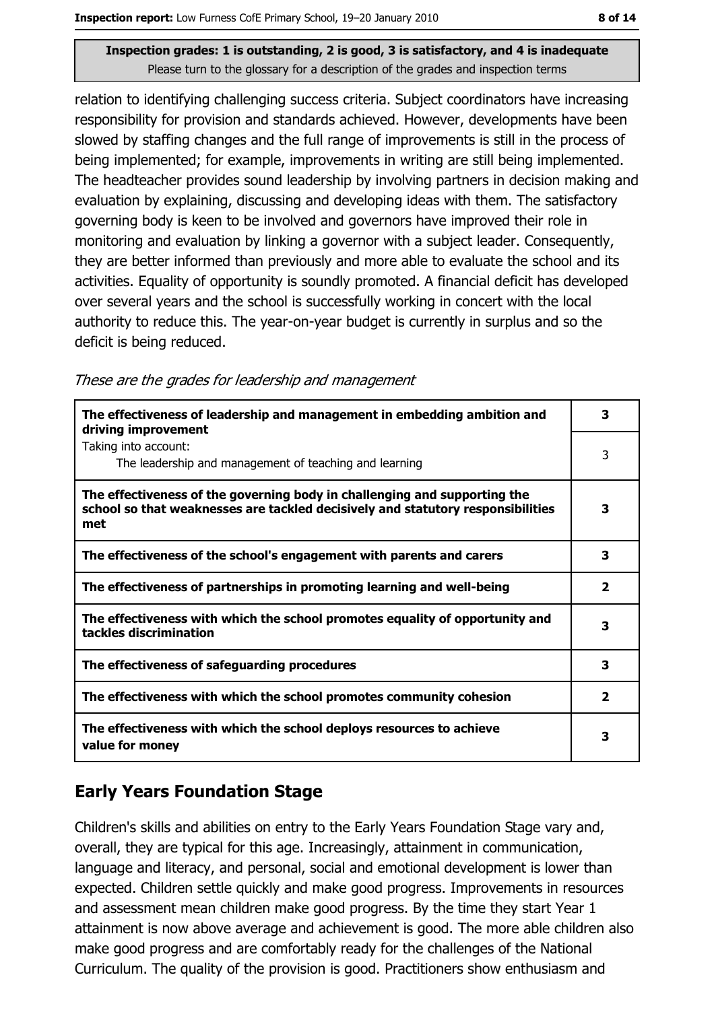relation to identifying challenging success criteria. Subject coordinators have increasing responsibility for provision and standards achieved. However, developments have been slowed by staffing changes and the full range of improvements is still in the process of being implemented; for example, improvements in writing are still being implemented. The headteacher provides sound leadership by involving partners in decision making and evaluation by explaining, discussing and developing ideas with them. The satisfactory governing body is keen to be involved and governors have improved their role in monitoring and evaluation by linking a governor with a subject leader. Consequently, they are better informed than previously and more able to evaluate the school and its activities. Equality of opportunity is soundly promoted. A financial deficit has developed over several years and the school is successfully working in concert with the local authority to reduce this. The year-on-year budget is currently in surplus and so the deficit is being reduced.

These are the grades for leadership and management

| The effectiveness of leadership and management in embedding ambition and<br>driving improvement                                                                     | 3            |
|---------------------------------------------------------------------------------------------------------------------------------------------------------------------|--------------|
| Taking into account:<br>The leadership and management of teaching and learning                                                                                      | 3            |
| The effectiveness of the governing body in challenging and supporting the<br>school so that weaknesses are tackled decisively and statutory responsibilities<br>met | 3            |
| The effectiveness of the school's engagement with parents and carers                                                                                                | 3            |
| The effectiveness of partnerships in promoting learning and well-being                                                                                              | $\mathbf{2}$ |
| The effectiveness with which the school promotes equality of opportunity and<br>tackles discrimination                                                              | 3            |
| The effectiveness of safeguarding procedures                                                                                                                        | 3            |
| The effectiveness with which the school promotes community cohesion                                                                                                 | $\mathbf{2}$ |
| The effectiveness with which the school deploys resources to achieve<br>value for money                                                                             | 3            |

## **Early Years Foundation Stage**

Children's skills and abilities on entry to the Early Years Foundation Stage vary and, overall, they are typical for this age. Increasingly, attainment in communication, language and literacy, and personal, social and emotional development is lower than expected. Children settle quickly and make good progress. Improvements in resources and assessment mean children make good progress. By the time they start Year 1 attainment is now above average and achievement is good. The more able children also make good progress and are comfortably ready for the challenges of the National Curriculum. The quality of the provision is good. Practitioners show enthusiasm and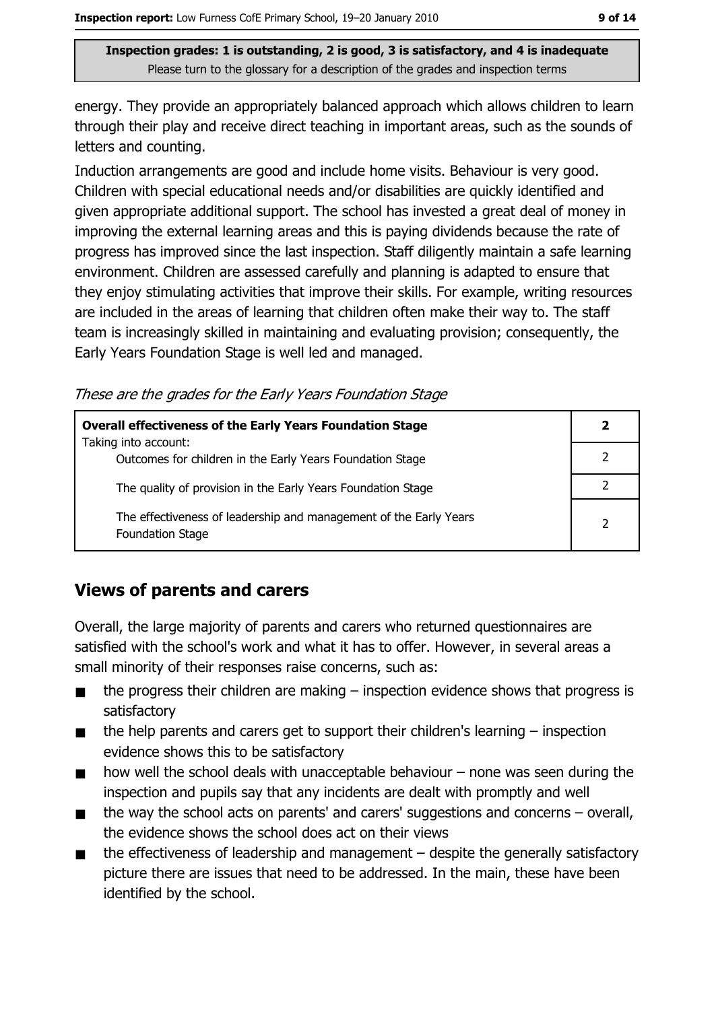energy. They provide an appropriately balanced approach which allows children to learn through their play and receive direct teaching in important areas, such as the sounds of letters and counting.

Induction arrangements are good and include home visits. Behaviour is very good. Children with special educational needs and/or disabilities are quickly identified and given appropriate additional support. The school has invested a great deal of money in improving the external learning areas and this is paying dividends because the rate of progress has improved since the last inspection. Staff diligently maintain a safe learning environment. Children are assessed carefully and planning is adapted to ensure that they enjoy stimulating activities that improve their skills. For example, writing resources are included in the areas of learning that children often make their way to. The staff team is increasingly skilled in maintaining and evaluating provision; consequently, the Early Years Foundation Stage is well led and managed.

These are the grades for the Early Years Foundation Stage

| <b>Overall effectiveness of the Early Years Foundation Stage</b>                      |                |
|---------------------------------------------------------------------------------------|----------------|
| Taking into account:<br>Outcomes for children in the Early Years Foundation Stage     |                |
| The quality of provision in the Early Years Foundation Stage                          |                |
| The effectiveness of leadership and management of the Early Years<br>Foundation Stage | $\overline{2}$ |

#### **Views of parents and carers**

Overall, the large majority of parents and carers who returned questionnaires are satisfied with the school's work and what it has to offer. However, in several areas a small minority of their responses raise concerns, such as:

- the progress their children are making  $-$  inspection evidence shows that progress is  $\blacksquare$ satisfactory
- the help parents and carers get to support their children's learning  $-$  inspection  $\blacksquare$ evidence shows this to be satisfactory
- how well the school deals with unacceptable behaviour  $-$  none was seen during the  $\blacksquare$ inspection and pupils say that any incidents are dealt with promptly and well
- the way the school acts on parents' and carers' suggestions and concerns  $-$  overall,  $\blacksquare$ the evidence shows the school does act on their views
- the effectiveness of leadership and management  $-$  despite the generally satisfactory  $\blacksquare$ picture there are issues that need to be addressed. In the main, these have been identified by the school.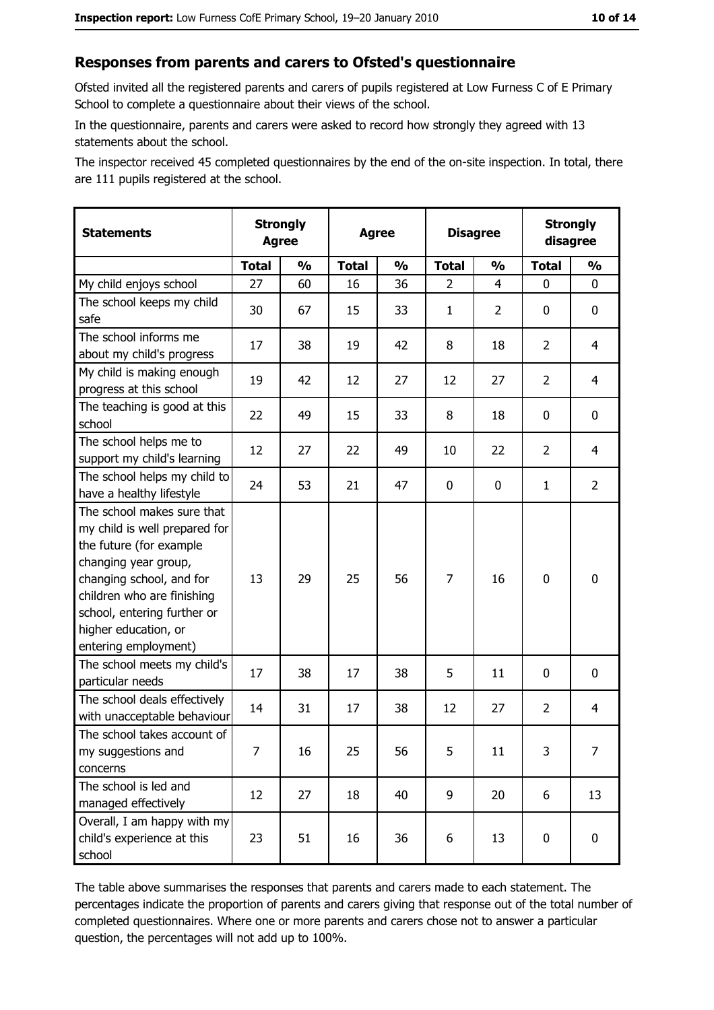#### Responses from parents and carers to Ofsted's questionnaire

Ofsted invited all the registered parents and carers of pupils registered at Low Furness C of E Primary School to complete a questionnaire about their views of the school.

In the questionnaire, parents and carers were asked to record how strongly they agreed with 13 statements about the school.

The inspector received 45 completed questionnaires by the end of the on-site inspection. In total, there are 111 pupils registered at the school.

| <b>Statements</b>                                                                                                                                                                                                                                       | <b>Strongly</b><br><b>Agree</b> |               | <b>Agree</b> |               | <b>Disagree</b> |                |                | <b>Strongly</b><br>disagree |
|---------------------------------------------------------------------------------------------------------------------------------------------------------------------------------------------------------------------------------------------------------|---------------------------------|---------------|--------------|---------------|-----------------|----------------|----------------|-----------------------------|
|                                                                                                                                                                                                                                                         | <b>Total</b>                    | $\frac{1}{2}$ | <b>Total</b> | $\frac{0}{0}$ | <b>Total</b>    | $\frac{1}{2}$  | <b>Total</b>   | $\frac{1}{2}$               |
| My child enjoys school                                                                                                                                                                                                                                  | 27                              | 60            | 16           | 36            | 2               | 4              | 0              | 0                           |
| The school keeps my child<br>safe                                                                                                                                                                                                                       | 30                              | 67            | 15           | 33            | $\mathbf{1}$    | $\overline{2}$ | 0              | 0                           |
| The school informs me<br>about my child's progress                                                                                                                                                                                                      | 17                              | 38            | 19           | 42            | 8               | 18             | $\overline{2}$ | 4                           |
| My child is making enough<br>progress at this school                                                                                                                                                                                                    | 19                              | 42            | 12           | 27            | 12              | 27             | $\overline{2}$ | $\overline{4}$              |
| The teaching is good at this<br>school                                                                                                                                                                                                                  | 22                              | 49            | 15           | 33            | 8               | 18             | 0              | 0                           |
| The school helps me to<br>support my child's learning                                                                                                                                                                                                   | 12                              | 27            | 22           | 49            | 10              | 22             | $\overline{2}$ | 4                           |
| The school helps my child to<br>have a healthy lifestyle                                                                                                                                                                                                | 24                              | 53            | 21           | 47            | $\mathbf 0$     | 0              | 1              | $\overline{2}$              |
| The school makes sure that<br>my child is well prepared for<br>the future (for example<br>changing year group,<br>changing school, and for<br>children who are finishing<br>school, entering further or<br>higher education, or<br>entering employment) | 13                              | 29            | 25           | 56            | $\overline{7}$  | 16             | $\mathbf 0$    | $\mathbf 0$                 |
| The school meets my child's<br>particular needs                                                                                                                                                                                                         | 17                              | 38            | 17           | 38            | 5               | 11             | 0              | 0                           |
| The school deals effectively<br>with unacceptable behaviour                                                                                                                                                                                             | 14                              | 31            | 17           | 38            | 12              | 27             | $\overline{2}$ | 4                           |
| The school takes account of<br>my suggestions and<br>concerns                                                                                                                                                                                           | 7                               | 16            | 25           | 56            | 5               | 11             | 3              | 7                           |
| The school is led and<br>managed effectively                                                                                                                                                                                                            | 12                              | 27            | 18           | 40            | 9               | 20             | 6              | 13                          |
| Overall, I am happy with my<br>child's experience at this<br>school                                                                                                                                                                                     | 23                              | 51            | 16           | 36            | 6               | 13             | 0              | $\mathbf 0$                 |

The table above summarises the responses that parents and carers made to each statement. The percentages indicate the proportion of parents and carers giving that response out of the total number of completed questionnaires. Where one or more parents and carers chose not to answer a particular question, the percentages will not add up to 100%.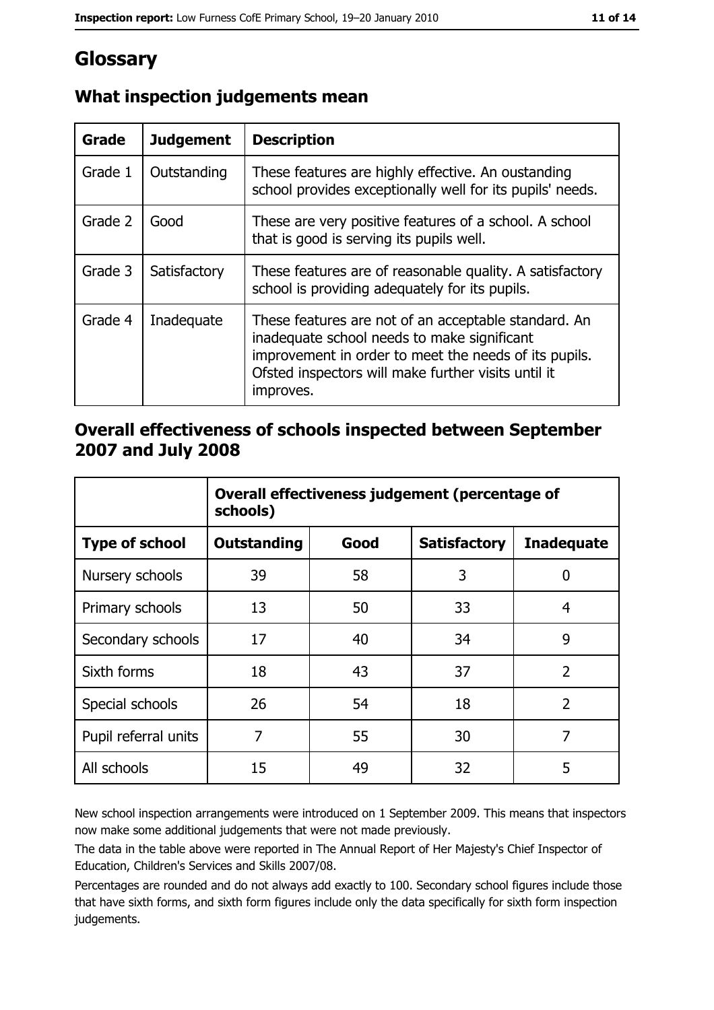# Glossary

| <b>Grade</b> | <b>Judgement</b> | <b>Description</b>                                                                                                                                                                                                               |
|--------------|------------------|----------------------------------------------------------------------------------------------------------------------------------------------------------------------------------------------------------------------------------|
| Grade 1      | Outstanding      | These features are highly effective. An oustanding<br>school provides exceptionally well for its pupils' needs.                                                                                                                  |
| Grade 2      | Good             | These are very positive features of a school. A school<br>that is good is serving its pupils well.                                                                                                                               |
| Grade 3      | Satisfactory     | These features are of reasonable quality. A satisfactory<br>school is providing adequately for its pupils.                                                                                                                       |
| Grade 4      | Inadequate       | These features are not of an acceptable standard. An<br>inadequate school needs to make significant<br>improvement in order to meet the needs of its pupils.<br>Ofsted inspectors will make further visits until it<br>improves. |

## What inspection judgements mean

#### Overall effectiveness of schools inspected between September 2007 and July 2008

|                       | Overall effectiveness judgement (percentage of<br>schools) |      |                     |                   |  |  |
|-----------------------|------------------------------------------------------------|------|---------------------|-------------------|--|--|
| <b>Type of school</b> | <b>Outstanding</b>                                         | Good | <b>Satisfactory</b> | <b>Inadequate</b> |  |  |
| Nursery schools       | 39                                                         | 58   | 3                   | 0                 |  |  |
| Primary schools       | 13                                                         | 50   | 33                  | 4                 |  |  |
| Secondary schools     | 17                                                         | 40   | 34                  | 9                 |  |  |
| Sixth forms           | 18                                                         | 43   | 37                  | $\overline{2}$    |  |  |
| Special schools       | 26                                                         | 54   | 18                  | $\overline{2}$    |  |  |
| Pupil referral units  | 7                                                          | 55   | 30                  | 7                 |  |  |
| All schools           | 15                                                         | 49   | 32                  | 5                 |  |  |

New school inspection arrangements were introduced on 1 September 2009. This means that inspectors now make some additional judgements that were not made previously.

The data in the table above were reported in The Annual Report of Her Majesty's Chief Inspector of Education, Children's Services and Skills 2007/08.

Percentages are rounded and do not always add exactly to 100. Secondary school figures include those that have sixth forms, and sixth form figures include only the data specifically for sixth form inspection judgements.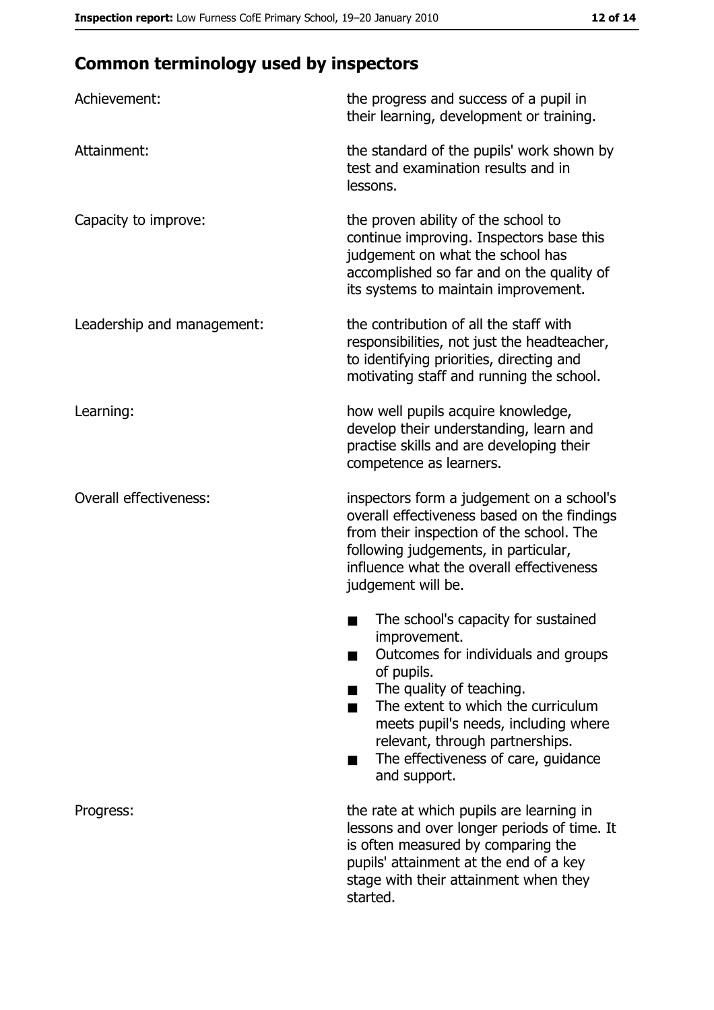# **Common terminology used by inspectors**

| Achievement:                  | the progress and success of a pupil in<br>their learning, development or training.                                                                                                                                                                                                                                |  |  |
|-------------------------------|-------------------------------------------------------------------------------------------------------------------------------------------------------------------------------------------------------------------------------------------------------------------------------------------------------------------|--|--|
| Attainment:                   | the standard of the pupils' work shown by<br>test and examination results and in<br>lessons.                                                                                                                                                                                                                      |  |  |
| Capacity to improve:          | the proven ability of the school to<br>continue improving. Inspectors base this<br>judgement on what the school has<br>accomplished so far and on the quality of<br>its systems to maintain improvement.                                                                                                          |  |  |
| Leadership and management:    | the contribution of all the staff with<br>responsibilities, not just the headteacher,<br>to identifying priorities, directing and<br>motivating staff and running the school.                                                                                                                                     |  |  |
| Learning:                     | how well pupils acquire knowledge,<br>develop their understanding, learn and<br>practise skills and are developing their<br>competence as learners.                                                                                                                                                               |  |  |
| <b>Overall effectiveness:</b> | inspectors form a judgement on a school's<br>overall effectiveness based on the findings<br>from their inspection of the school. The<br>following judgements, in particular,<br>influence what the overall effectiveness<br>judgement will be.                                                                    |  |  |
|                               | The school's capacity for sustained<br>improvement.<br>Outcomes for individuals and groups<br>of pupils.<br>The quality of teaching.<br>The extent to which the curriculum<br>meets pupil's needs, including where<br>relevant, through partnerships.<br>The effectiveness of care, guidance<br>■<br>and support. |  |  |
| Progress:                     | the rate at which pupils are learning in<br>lessons and over longer periods of time. It<br>is often measured by comparing the<br>pupils' attainment at the end of a key<br>stage with their attainment when they<br>started.                                                                                      |  |  |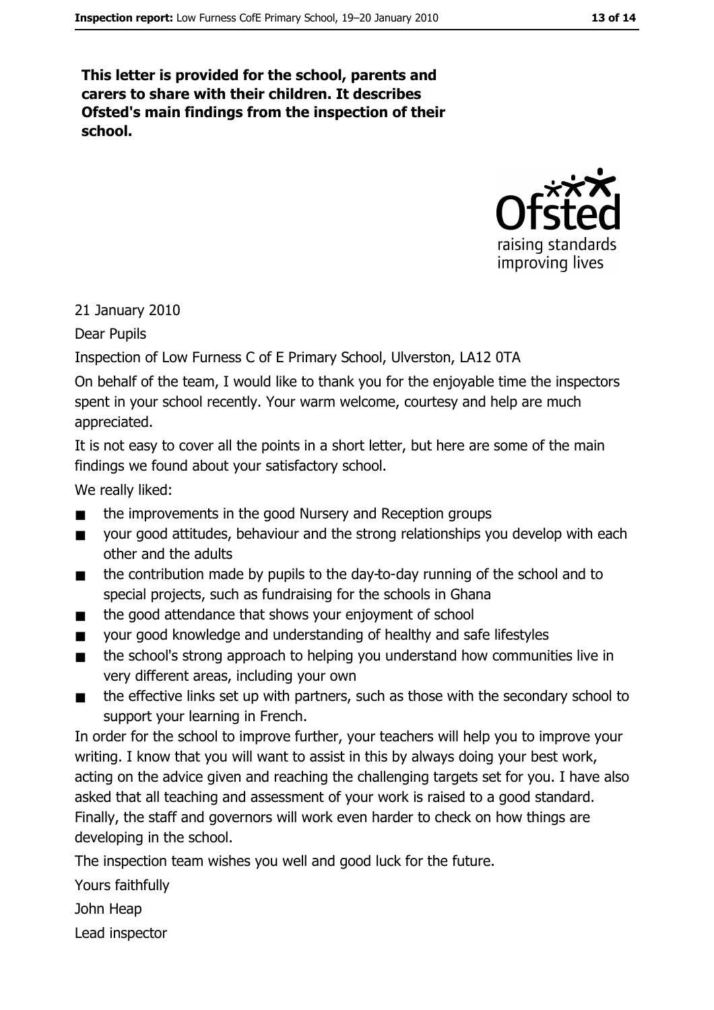This letter is provided for the school, parents and carers to share with their children. It describes Ofsted's main findings from the inspection of their school.



#### 21 January 2010

Dear Pupils

Inspection of Low Furness C of E Primary School, Ulverston, LA12 0TA

On behalf of the team, I would like to thank you for the enjoyable time the inspectors spent in your school recently. Your warm welcome, courtesy and help are much appreciated.

It is not easy to cover all the points in a short letter, but here are some of the main findings we found about your satisfactory school.

We really liked:

- the improvements in the good Nursery and Reception groups
- your good attitudes, behaviour and the strong relationships you develop with each  $\blacksquare$ other and the adults
- the contribution made by pupils to the day-to-day running of the school and to  $\blacksquare$ special projects, such as fundraising for the schools in Ghana
- the good attendance that shows your enjoyment of school  $\blacksquare$
- your good knowledge and understanding of healthy and safe lifestyles  $\blacksquare$
- the school's strong approach to helping you understand how communities live in  $\blacksquare$ very different areas, including your own
- the effective links set up with partners, such as those with the secondary school to  $\blacksquare$ support your learning in French.

In order for the school to improve further, your teachers will help you to improve your writing. I know that you will want to assist in this by always doing your best work, acting on the advice given and reaching the challenging targets set for you. I have also asked that all teaching and assessment of your work is raised to a good standard. Finally, the staff and governors will work even harder to check on how things are developing in the school.

The inspection team wishes you well and good luck for the future.

Yours faithfully

John Heap

Lead inspector